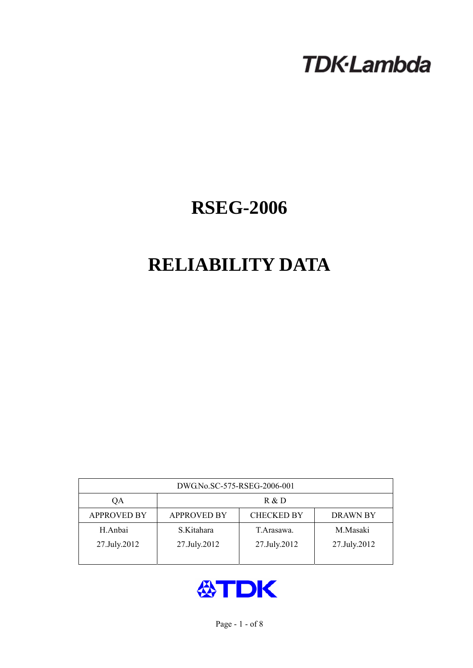# **TDK-Lambda**

## **RSEG-2006**

## **RELIABILITY DATA**

| DWG.No.SC-575-RSEG-2006-001 |                                                            |              |              |  |  |  |
|-----------------------------|------------------------------------------------------------|--------------|--------------|--|--|--|
| QA                          | R & D                                                      |              |              |  |  |  |
| <b>APPROVED BY</b>          | <b>APPROVED BY</b><br><b>CHECKED BY</b><br><b>DRAWN BY</b> |              |              |  |  |  |
| H.Anbai                     | S.Kitahara                                                 | T. Arasawa.  | M.Masaki     |  |  |  |
| 27.July.2012                | 27.July.2012                                               | 27.July.2012 | 27.July.2012 |  |  |  |
|                             |                                                            |              |              |  |  |  |

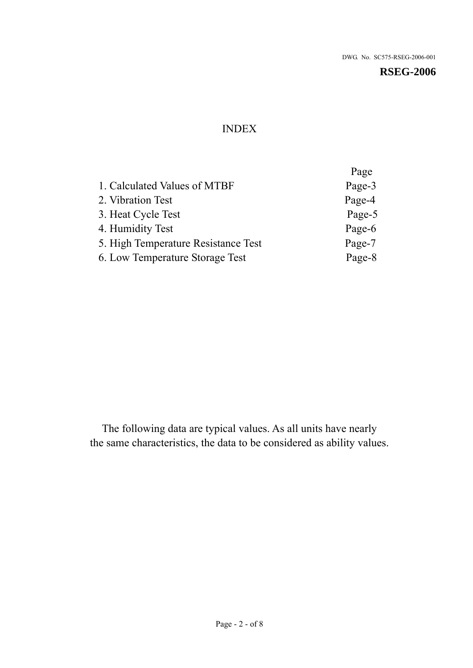**RSEG-2006** 

## INDEX

|                                     | Page   |
|-------------------------------------|--------|
| 1. Calculated Values of MTBF        | Page-3 |
| 2. Vibration Test                   | Page-4 |
| 3. Heat Cycle Test                  | Page-5 |
| 4. Humidity Test                    | Page-6 |
| 5. High Temperature Resistance Test | Page-7 |
| 6. Low Temperature Storage Test     | Page-8 |
|                                     |        |

The following data are typical values. As all units have nearly the same characteristics, the data to be considered as ability values.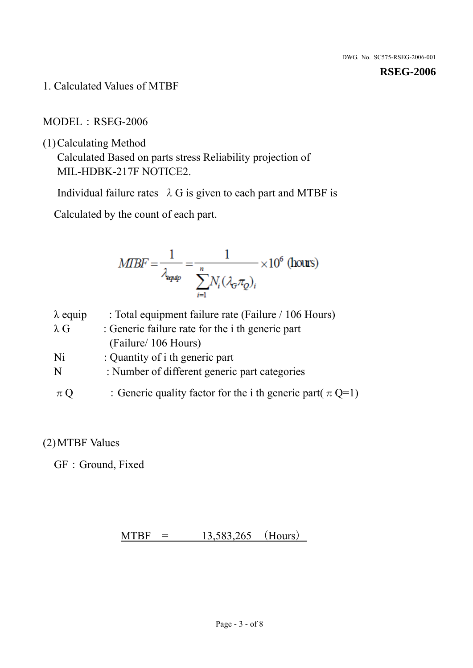1. Calculated Values of MTBF

MODEL: RSEG-2006

(1)Calculating Method

Calculated Based on parts stress Reliability projection of MIL-HDBK-217F NOTICE2.

Individual failure rates  $\lambda$  G is given to each part and MTBF is

Calculated by the count of each part.

$$
MIBF = \frac{1}{\lambda_{\text{expap}}} = \frac{1}{\sum_{i=1}^{n} N_i (\lambda_{\text{G}} \pi_Q)_i} \times 10^6 \text{ (hours)}
$$

| $\lambda$ equip | : Total equipment failure rate (Failure / 106 Hours)            |
|-----------------|-----------------------------------------------------------------|
| $\lambda$ G     | : Generic failure rate for the <i>i</i> th generic part         |
|                 | (Failure/ 106 Hours)                                            |
| Ni              | : Quantity of i th generic part                                 |
| N               | : Number of different generic part categories                   |
| $\pi Q$         | : Generic quality factor for the i th generic part( $\pi Q=1$ ) |

### (2)MTBF Values

GF: Ground, Fixed

 $MTBF = 13,583,265$  (Hours)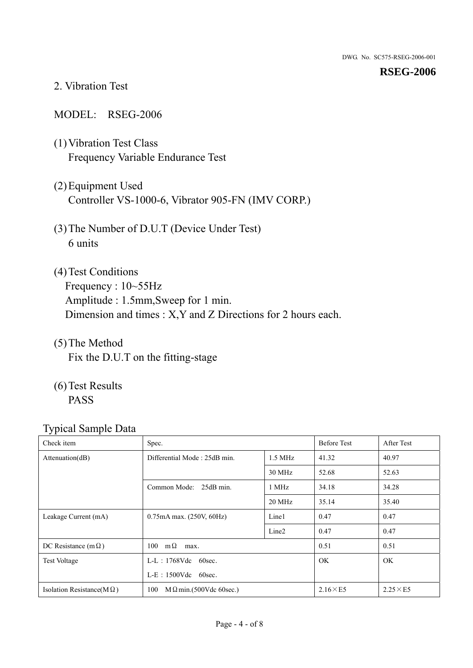#### **RSEG-2006**

#### 2. Vibration Test

#### MODEL: RSEG-2006

- (1)Vibration Test Class Frequency Variable Endurance Test
- (2)Equipment Used Controller VS-1000-6, Vibrator 905-FN (IMV CORP.)
- (3)The Number of D.U.T (Device Under Test) 6 units
- (4) Test Conditions Frequency : 10~55Hz Amplitude : 1.5mm,Sweep for 1 min. Dimension and times : X,Y and Z Directions for 2 hours each.
- (5)The Method Fix the D.U.T on the fitting-stage
- (6)Test Results PASS

| Check item                        | Spec.                                 |                   | <b>Before Test</b> | After Test      |
|-----------------------------------|---------------------------------------|-------------------|--------------------|-----------------|
| Attention(dB)                     | Differential Mode: 25dB min.          | $1.5$ MHz         | 41.32              | 40.97           |
|                                   |                                       | 30 MHz            | 52.68              | 52.63           |
|                                   | Common Mode: 25dB min.                | 1 MHz             | 34.18              | 34.28           |
|                                   |                                       | 20 MHz            | 35.14              | 35.40           |
| Leakage Current (mA)              | $0.75$ mA max. $(250V, 60Hz)$         | Line1             | 0.47               | 0.47            |
|                                   |                                       | Line <sub>2</sub> | 0.47               | 0.47            |
| DC Resistance (m $\Omega$ )       | $100 \quad m\Omega$<br>max.           |                   | 0.51               | 0.51            |
| <b>Test Voltage</b>               | $L-L$ : 1768Vdc 60sec.                |                   | <b>OK</b>          | OK.             |
|                                   | $L-E$ : 1500Vdc 60sec.                |                   |                    |                 |
| Isolation Resistance(M $\Omega$ ) | 100<br>$M \Omega$ min.(500Vdc 60sec.) |                   | $2.16\times E5$    | $2.25\times E5$ |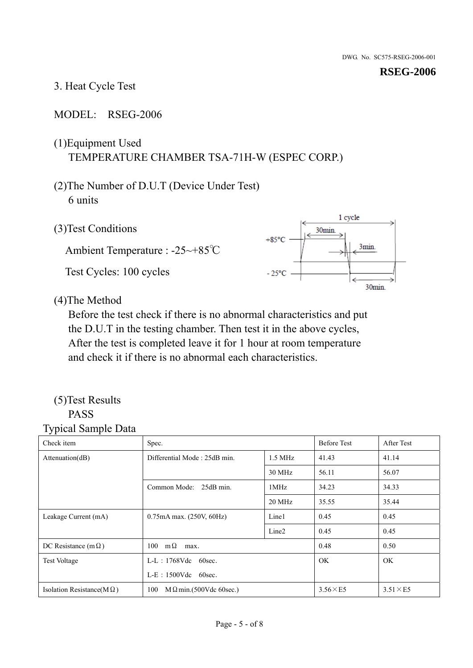1 cycle

3min.

30min.

30<sub>min</sub>

 $+85^{\circ}$ C

 $-25^{\circ}$ C

#### 3. Heat Cycle Test

#### MODEL: RSEG-2006

## (1)Equipment Used TEMPERATURE CHAMBER TSA-71H-W (ESPEC CORP.)

## (2)The Number of D.U.T (Device Under Test) 6 units

(3)Test Conditions

Ambient Temperature : -25~+85℃

Test Cycles: 100 cycles



Before the test check if there is no abnormal characteristics and put the D.U.T in the testing chamber. Then test it in the above cycles, After the test is completed leave it for 1 hour at room temperature and check it if there is no abnormal each characteristics.

#### (5)Test Results PASS

| ╯┖<br>Check item                  | Spec.                                |                   | <b>Before Test</b> | After Test      |
|-----------------------------------|--------------------------------------|-------------------|--------------------|-----------------|
| Attention(dB)                     | Differential Mode: 25dB min.         |                   | 41.43              | 41.14           |
|                                   |                                      | 30 MHz            | 56.11              | 56.07           |
|                                   | Common Mode: 25dB min.               | 1MHz              | 34.23              | 34.33           |
|                                   |                                      | 20 MHz            | 35.55              | 35.44           |
| Leakage Current (mA)              | 0.75mA max. (250V, 60Hz)             | Line1             | 0.45               | 0.45            |
|                                   |                                      | Line <sub>2</sub> | 0.45               | 0.45            |
| DC Resistance (m $\Omega$ )       | $100 \quad m\Omega$<br>max.          |                   | 0.48               | 0.50            |
| <b>Test Voltage</b>               | $L-L$ : 1768Vdc 60sec.               |                   | OK.                | OK.             |
|                                   | $L-E$ : 1500Vdc 60sec.               |                   |                    |                 |
| Isolation Resistance(M $\Omega$ ) | 100<br>$M\Omega$ min.(500Vdc 60sec.) |                   | $3.56\times E5$    | $3.51\times E5$ |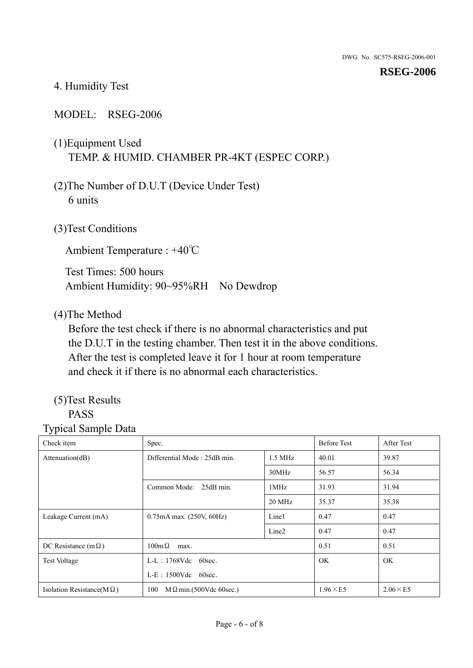#### **RSEG-2006**

#### 4. Humidity Test

#### MODEL: RSEG-2006

## (1)Equipment Used TEMP. & HUMID. CHAMBER PR-4KT (ESPEC CORP.)

- (2)The Number of D.U.T (Device Under Test) 6 units
- (3)Test Conditions

Ambient Temperature : +40℃

Test Times: 500 hours Ambient Humidity: 90~95%RH No Dewdrop

#### (4)The Method

Before the test check if there is no abnormal characteristics and put the D.U.T in the testing chamber. Then test it in the above conditions. After the test is completed leave it for 1 hour at room temperature and check it if there is no abnormal each characteristics.

## (5)Test Results

## PASS

| . .<br>Check item                 | Spec.                                 |                   | <b>Before Test</b> | After Test      |
|-----------------------------------|---------------------------------------|-------------------|--------------------|-----------------|
| Attention(dB)                     | Differential Mode: 25dB min.          | $1.5$ MHz         | 40.01              | 39.87           |
|                                   |                                       | 30MHz             | 56.57              | 56.34           |
|                                   | Common Mode: 25dB min.                | 1MHz              | 31.93              | 31.94           |
|                                   |                                       | 20 MHz            | 35.37              | 35.38           |
| Leakage Current (mA)              | 0.75mA max. (250V, 60Hz)              | Line1             | 0.47               | 0.47            |
|                                   |                                       | Line <sub>2</sub> | 0.47               | 0.47            |
| DC Resistance (m $\Omega$ )       | $100m\Omega$<br>max.                  |                   | 0.51               | 0.51            |
| <b>Test Voltage</b>               | $L-L$ : 1768Vdc 60sec.                |                   | <b>OK</b>          | OK.             |
|                                   | $L-E$ : 1500Vdc 60sec.                |                   |                    |                 |
| Isolation Resistance( $M\Omega$ ) | 100<br>$M \Omega$ min.(500Vdc 60sec.) |                   | $1.96\times E5$    | $2.06\times E5$ |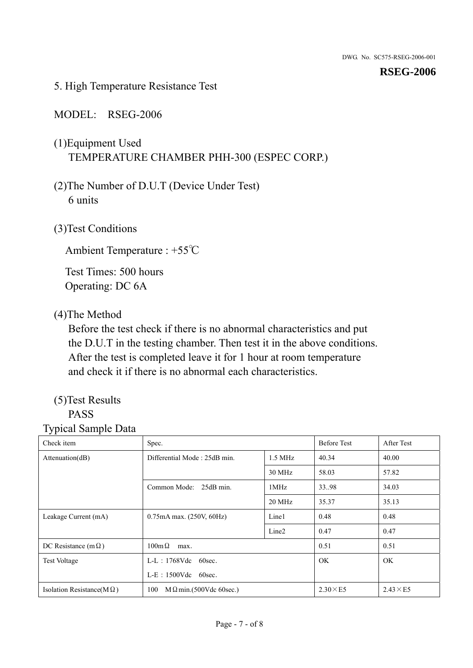5. High Temperature Resistance Test

#### MODEL: RSEG-2006

- (1)Equipment Used TEMPERATURE CHAMBER PHH-300 (ESPEC CORP.)
- (2)The Number of D.U.T (Device Under Test) 6 units
- (3)Test Conditions

Ambient Temperature : +55℃

Test Times: 500 hours Operating: DC 6A

#### (4)The Method

Before the test check if there is no abnormal characteristics and put the D.U.T in the testing chamber. Then test it in the above conditions. After the test is completed leave it for 1 hour at room temperature and check it if there is no abnormal each characteristics.

## (5)Test Results

## PASS

| Check item                        | Spec.                                 |                   | <b>Before Test</b> | After Test      |
|-----------------------------------|---------------------------------------|-------------------|--------------------|-----------------|
| Attenuation(dB)                   | Differential Mode: 25dB min.          | $1.5$ MHz         |                    | 40.00           |
|                                   |                                       | 30 MHz            | 58.03              | 57.82           |
|                                   | Common Mode: 25dB min.                | 1MHz              | 33.98              | 34.03           |
|                                   |                                       | 20 MHz            | 35.37              | 35.13           |
| Leakage Current (mA)              | 0.75mA max. (250V, 60Hz)              | Line1             | 0.48               | 0.48            |
|                                   |                                       | Line <sub>2</sub> | 0.47               | 0.47            |
| DC Resistance (m $\Omega$ )       | $100 \text{m}\,\Omega$<br>max.        |                   | 0.51               | 0.51            |
| <b>Test Voltage</b>               | $L-L$ : 1768Vdc 60sec.                |                   | OK.                | OK.             |
|                                   | $L-E$ : 1500Vdc 60sec.                |                   |                    |                 |
| Isolation Resistance(M $\Omega$ ) | $M \Omega$ min.(500Vdc 60sec.)<br>100 |                   | $2.30\times E5$    | $2.43\times E5$ |